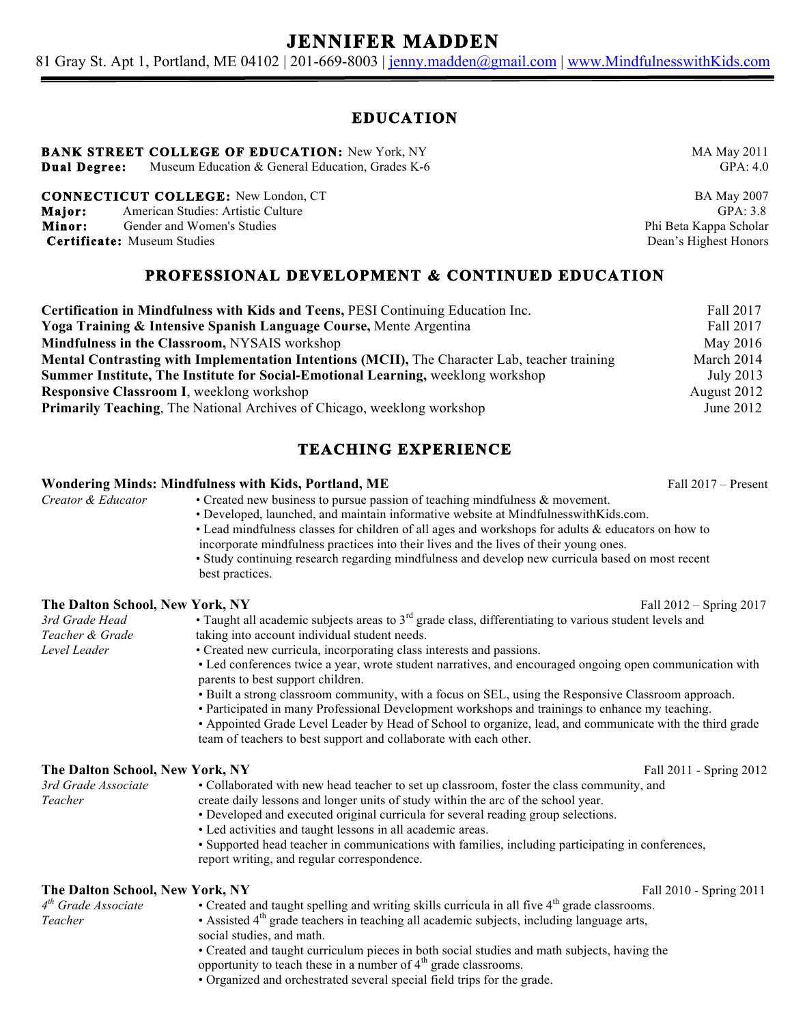# **JENNIFER MADDEN**

81 Gray St. Apt 1, Portland, ME 04102 | 201-669-8003 | jenny.madden@gmail.com | www.MindfulnesswithKids.com

## **EDUCATION**

## **BANK STREET COLLEGE OF EDUCATION:** New York, NY MA May 2011

**Dual Degree:** Museum Education & General Education, Grades K-6 GPA: 4.0

**CONNECTICUT COLLEGE:** New London, CT BA May 2007 **Major:** American Studies: Artistic Culture GPA: 3.8

**Minor:** Gender and Women's Studies **Phi Beta Kappa Scholar** Phi Beta Kappa Scholar

**Certificate:** Museum Studies **Dean's Highest Honors** Dean's Highest Honors

## **PROFESSIONAL DEVELOPMENT & CONTINUED EDUCATION**

| Certification in Mindfulness with Kids and Teens, PESI Continuing Education Inc.                     | Fall 2017   |
|------------------------------------------------------------------------------------------------------|-------------|
| Yoga Training & Intensive Spanish Language Course, Mente Argentina                                   | Fall 2017   |
| Mindfulness in the Classroom, NYSAIS workshop                                                        | May 2016    |
| <b>Mental Contrasting with Implementation Intentions (MCII), The Character Lab, teacher training</b> | March 2014  |
| Summer Institute, The Institute for Social-Emotional Learning, weeklong workshop                     | July 2013   |
| <b>Responsive Classroom I, weeklong workshop</b>                                                     | August 2012 |
| <b>Primarily Teaching, The National Archives of Chicago, weeklong workshop</b>                       | June $2012$ |

## **TEACHING EXPERIENCE**

### **Wondering Minds: Mindfulness with Kids, Portland, ME** Fall 2017 – Present

*Creator & Educator* • Created new business to pursue passion of teaching mindfulness & movement.

- Developed, launched, and maintain informative website at MindfulnesswithKids.com.
	- Lead mindfulness classes for children of all ages and workshops for adults & educators on how to incorporate mindfulness practices into their lives and the lives of their young ones.
	- Study continuing research regarding mindfulness and develop new curricula based on most recent best practices.

### **The Dalton School, New York, NY Fall 2012 – Spring 2017**

| 3rd Grade Head  | • Taught all academic subjects areas to $3rd$ grade class, differentiating to various student levels and |
|-----------------|----------------------------------------------------------------------------------------------------------|
| Teacher & Grade | taking into account individual student needs.                                                            |
| Level Leader    | • Created new curricula, incorporating class interests and passions.                                     |
|                 | • Led conferences twice a year, wrote student narratives, and encouraged ongoing open communication with |
|                 | parents to best support children.                                                                        |
|                 | • Built a strong classroom community, with a focus on SEL, using the Responsive Classroom approach.      |
|                 | • Participated in many Professional Development workshops and trainings to enhance my teaching.          |
|                 | • Appointed Grade Level Leader by Head of School to organize, lead, and communicate with the third grade |
|                 | team of teachers to best support and collaborate with each other.                                        |

### **The Dalton School, New York, NY Fall 2011** - Spring 2012

| 3rd Grade Associate | • Collaborated with new head teacher to set up classroom, foster the class community, and |  |
|---------------------|-------------------------------------------------------------------------------------------|--|
| Teacher             | create daily lessons and longer units of study within the arc of the school year.         |  |
|                     | • Developed and executed original curricula for several reading group selections.         |  |
|                     |                                                                                           |  |

- Led activities and taught lessons in all academic areas.
- Supported head teacher in communications with families, including participating in conferences, report writing, and regular correspondence.

- **The Dalton School, New York, NY**<br> **C** Created and taught spelling and writing skills curricula in all five 4<sup>th</sup> grade classrooms. • Created and taught spelling and writing skills curricula in all five 4<sup>th</sup> grade classrooms.
- *Teacher* Assisted 4<sup>th</sup> grade teachers in teaching all academic subjects, including language arts,
	- social studies, and math.

• Created and taught curriculum pieces in both social studies and math subjects, having the opportunity to teach these in a number of  $4<sup>th</sup>$  grade classrooms.

• Organized and orchestrated several special field trips for the grade.